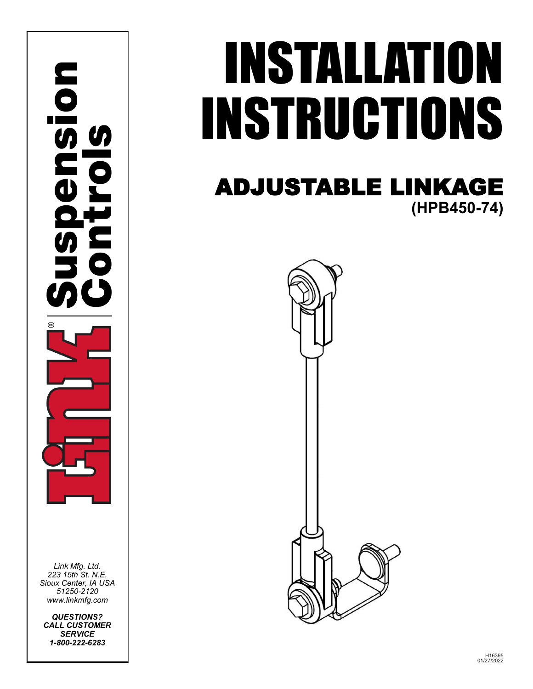

*Link Mfg. Ltd. 223 15th St. N.E. Sioux Center, IA USA 51250-2120 www.linkmfg.com*

*QUESTIONS? CALL CUSTOMER SERVICE 1-800-222-6283*

# INSTALLATION INSTRUCTIONS

# ADJUSTABLE LINKAGE **(HPB450-74)**